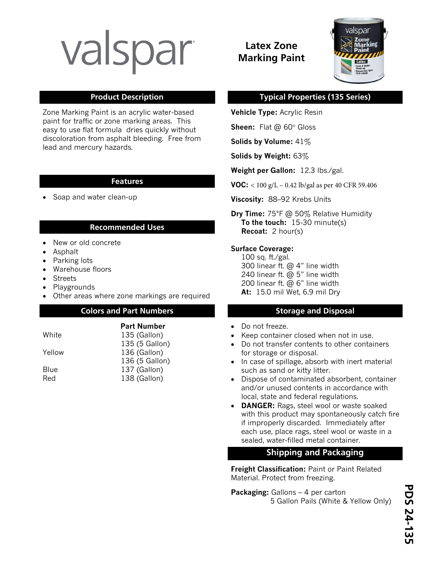# valspar

Zone Marking Paint is an acrylic water-based paint for traffic or zone marking areas. This easy to use flat formula dries quickly without discoloration from asphalt bleeding. Free from lead and mercury hazards.

#### **Features**

• Soap and water clean-up

### **Recommended Uses**

- New or old concrete
- Asphalt
- Parking lots
- Warehouse floors
- Streets
- Playgrounds
- Other areas where zone markings are required

#### **Colors and Part Numbers Colors and Part Numbers Storage and Disposal Colors and Part Numbers**

**Part Number** 

135 (5 Gallon)

136 (5 Gallon)

White 135 (Gallon)

Yellow 136 (Gallon)

Blue 137 (Gallon) Red 138 (Gallon)

# **Latex Zone Marking Paint**



## **Product Description Typical Properties (135 Series)**

**Vehicle Type:** Acrylic Resin

**Sheen:** Flat @ 60° Gloss

**Solids by Volume:** 41%

**Solids by Weight:** 63%

**Weight per Gallon:** 12.3 lbs./gal.

**VOC:** < 100 g/L – 0.42 lb/gal as per 40 CFR 59.406

**Viscosity:** 88–92 Krebs Units

**Dry Time:** 75°F @ 50% Relative Humidity **To the touch:** 15-30 minute(s) **Recoat:** 2 hour(s)

#### **Surface Coverage:**

100 sq. ft./gal. 300 linear ft. @ 4" line width 240 linear ft. @ 5" line width 200 linear ft. @ 6" line width **At:** 15.0 mil Wet, 6.9 mil Dry

- Do not freeze.
- Keep container closed when not in use.
- Do not transfer contents to other containers for storage or disposal.
- In case of spillage, absorb with inert material such as sand or kitty litter.
- Dispose of contaminated absorbent, container and/or unused contents in accordance with local, state and federal regulations.
- **DANGER:** Rags, steel wool or waste soaked with this product may spontaneously catch fire if improperly discarded. Immediately after each use, place rags, steel wool or waste in a sealed, water-filled metal container.

## **Shipping and Packaging**

**Freight Classification:** Paint or Paint Related Material. Protect from freezing.

**Packaging:** Gallons – 4 per carton 5 Gallon Pails (White & Yellow Only)